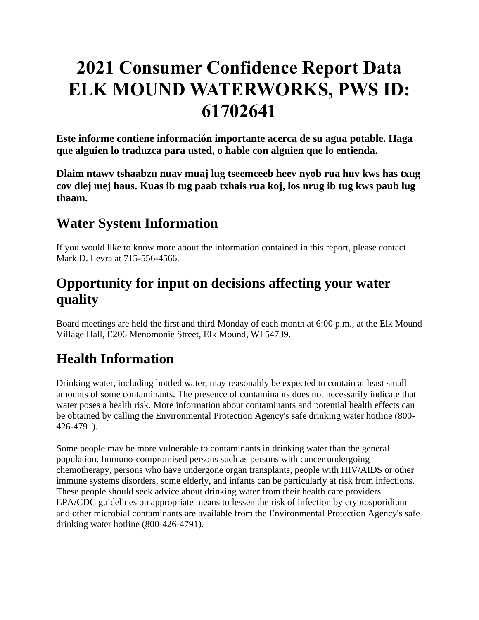# **2021 Consumer Confidence Report Data ELK MOUND WATERWORKS, PWS ID: 61702641**

**Este informe contiene información importante acerca de su agua potable. Haga que alguien lo traduzca para usted, o hable con alguien que lo entienda.**

**Dlaim ntawv tshaabzu nuav muaj lug tseemceeb heev nyob rua huv kws has txug cov dlej mej haus. Kuas ib tug paab txhais rua koj, los nrug ib tug kws paub lug thaam.**

## **Water System Information**

If you would like to know more about the information contained in this report, please contact Mark D. Levra at 715-556-4566.

## **Opportunity for input on decisions affecting your water quality**

Board meetings are held the first and third Monday of each month at 6:00 p.m., at the Elk Mound Village Hall, E206 Menomonie Street, Elk Mound, WI 54739.

## **Health Information**

Drinking water, including bottled water, may reasonably be expected to contain at least small amounts of some contaminants. The presence of contaminants does not necessarily indicate that water poses a health risk. More information about contaminants and potential health effects can be obtained by calling the Environmental Protection Agency's safe drinking water hotline (800- 426-4791).

Some people may be more vulnerable to contaminants in drinking water than the general population. Immuno-compromised persons such as persons with cancer undergoing chemotherapy, persons who have undergone organ transplants, people with HIV/AIDS or other immune systems disorders, some elderly, and infants can be particularly at risk from infections. These people should seek advice about drinking water from their health care providers. EPA/CDC guidelines on appropriate means to lessen the risk of infection by cryptosporidium and other microbial contaminants are available from the Environmental Protection Agency's safe drinking water hotline (800-426-4791).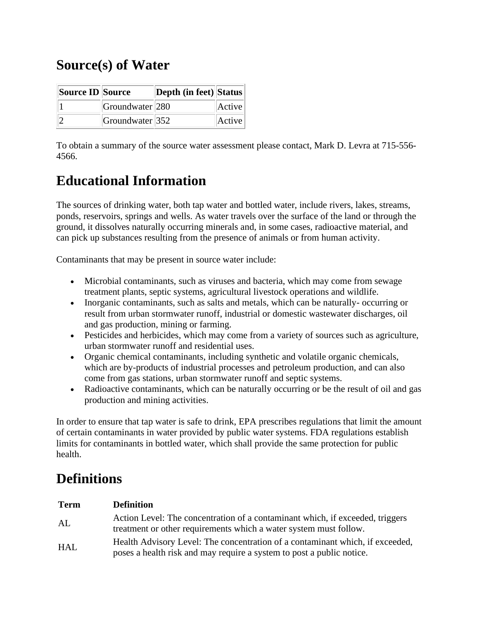## **Source(s) of Water**

| Source ID Source |                 | Depth (in feet) Status |        |
|------------------|-----------------|------------------------|--------|
|                  | Groundwater 280 |                        | Active |
|                  | Groundwater 352 |                        | Active |

To obtain a summary of the source water assessment please contact, Mark D. Levra at 715-556- 4566.

## **Educational Information**

The sources of drinking water, both tap water and bottled water, include rivers, lakes, streams, ponds, reservoirs, springs and wells. As water travels over the surface of the land or through the ground, it dissolves naturally occurring minerals and, in some cases, radioactive material, and can pick up substances resulting from the presence of animals or from human activity.

Contaminants that may be present in source water include:

- Microbial contaminants, such as viruses and bacteria, which may come from sewage treatment plants, septic systems, agricultural livestock operations and wildlife.
- Inorganic contaminants, such as salts and metals, which can be naturally-occurring or result from urban stormwater runoff, industrial or domestic wastewater discharges, oil and gas production, mining or farming.
- Pesticides and herbicides, which may come from a variety of sources such as agriculture, urban stormwater runoff and residential uses.
- Organic chemical contaminants, including synthetic and volatile organic chemicals, which are by-products of industrial processes and petroleum production, and can also come from gas stations, urban stormwater runoff and septic systems.
- Radioactive contaminants, which can be naturally occurring or be the result of oil and gas production and mining activities.

In order to ensure that tap water is safe to drink, EPA prescribes regulations that limit the amount of certain contaminants in water provided by public water systems. FDA regulations establish limits for contaminants in bottled water, which shall provide the same protection for public health.

## **Definitions**

| <b>Term</b> | <b>Definition</b>                                                                                                                                      |
|-------------|--------------------------------------------------------------------------------------------------------------------------------------------------------|
| AL          | Action Level: The concentration of a contaminant which, if exceeded, triggers<br>treatment or other requirements which a water system must follow.     |
| HAL         | Health Advisory Level: The concentration of a contaminant which, if exceeded,<br>poses a health risk and may require a system to post a public notice. |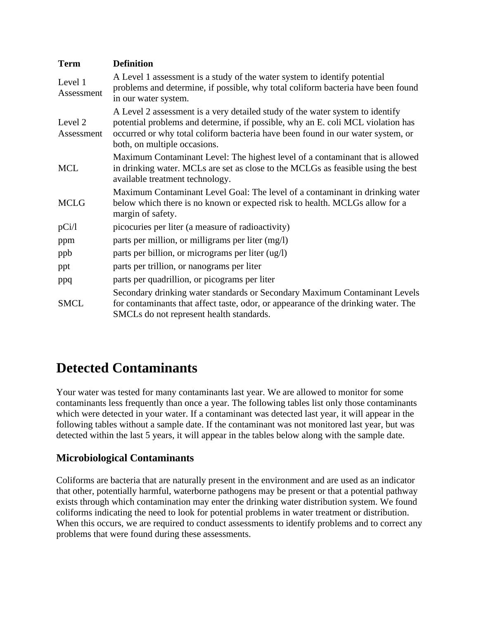| <b>Term</b>           | <b>Definition</b>                                                                                                                                                                                                                                                                   |  |  |  |  |  |  |
|-----------------------|-------------------------------------------------------------------------------------------------------------------------------------------------------------------------------------------------------------------------------------------------------------------------------------|--|--|--|--|--|--|
| Level 1<br>Assessment | A Level 1 assessment is a study of the water system to identify potential<br>problems and determine, if possible, why total coliform bacteria have been found<br>in our water system.                                                                                               |  |  |  |  |  |  |
| Level 2<br>Assessment | A Level 2 assessment is a very detailed study of the water system to identify<br>potential problems and determine, if possible, why an E. coli MCL violation has<br>occurred or why total coliform bacteria have been found in our water system, or<br>both, on multiple occasions. |  |  |  |  |  |  |
| <b>MCL</b>            | Maximum Contaminant Level: The highest level of a contaminant that is allowed<br>in drinking water. MCLs are set as close to the MCLGs as feasible using the best<br>available treatment technology.                                                                                |  |  |  |  |  |  |
| <b>MCLG</b>           | Maximum Contaminant Level Goal: The level of a contaminant in drinking water<br>below which there is no known or expected risk to health. MCLGs allow for a<br>margin of safety.                                                                                                    |  |  |  |  |  |  |
| pCi/1                 | picocuries per liter (a measure of radioactivity)                                                                                                                                                                                                                                   |  |  |  |  |  |  |
| ppm                   | parts per million, or milligrams per liter (mg/l)                                                                                                                                                                                                                                   |  |  |  |  |  |  |
| ppb                   | parts per billion, or micrograms per liter (ug/l)                                                                                                                                                                                                                                   |  |  |  |  |  |  |
| ppt                   | parts per trillion, or nanograms per liter                                                                                                                                                                                                                                          |  |  |  |  |  |  |
| ppq                   | parts per quadrillion, or picograms per liter                                                                                                                                                                                                                                       |  |  |  |  |  |  |
| <b>SMCL</b>           | Secondary drinking water standards or Secondary Maximum Contaminant Levels<br>for contaminants that affect taste, odor, or appearance of the drinking water. The<br>SMCLs do not represent health standards.                                                                        |  |  |  |  |  |  |

## **Detected Contaminants**

Your water was tested for many contaminants last year. We are allowed to monitor for some contaminants less frequently than once a year. The following tables list only those contaminants which were detected in your water. If a contaminant was detected last year, it will appear in the following tables without a sample date. If the contaminant was not monitored last year, but was detected within the last 5 years, it will appear in the tables below along with the sample date.

### **Microbiological Contaminants**

Coliforms are bacteria that are naturally present in the environment and are used as an indicator that other, potentially harmful, waterborne pathogens may be present or that a potential pathway exists through which contamination may enter the drinking water distribution system. We found coliforms indicating the need to look for potential problems in water treatment or distribution. When this occurs, we are required to conduct assessments to identify problems and to correct any problems that were found during these assessments.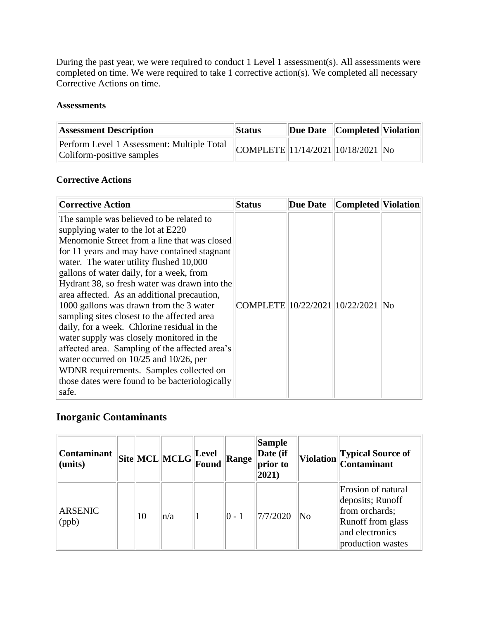During the past year, we were required to conduct 1 Level 1 assessment(s). All assessments were completed on time. We were required to take 1 corrective action(s). We completed all necessary Corrective Actions on time.

#### **Assessments**

| <b>Assessment Description</b>                                           | <b>Status</b>                    | Due Date   Completed   Violation |  |
|-------------------------------------------------------------------------|----------------------------------|----------------------------------|--|
| Perform Level 1 Assessment: Multiple Total<br>Coliform-positive samples | COMPLETE 11/14/2021 10/18/2021 N |                                  |  |

#### **Corrective Actions**

| <b>Corrective Action</b>                                                                                                                                                                                                                                                                                                                                                                                                                                                                                                                                                                                                                                                                                                                                      | <b>Status</b>                     | Due Date | Completed  Violation |  |
|---------------------------------------------------------------------------------------------------------------------------------------------------------------------------------------------------------------------------------------------------------------------------------------------------------------------------------------------------------------------------------------------------------------------------------------------------------------------------------------------------------------------------------------------------------------------------------------------------------------------------------------------------------------------------------------------------------------------------------------------------------------|-----------------------------------|----------|----------------------|--|
| The sample was believed to be related to<br>supplying water to the lot at E220<br>Menomonie Street from a line that was closed<br>for 11 years and may have contained stagnant<br>water. The water utility flushed 10,000<br>gallons of water daily, for a week, from<br>Hydrant 38, so fresh water was drawn into the<br>area affected. As an additional precaution,<br>1000 gallons was drawn from the 3 water<br>sampling sites closest to the affected area<br>daily, for a week. Chlorine residual in the<br>water supply was closely monitored in the<br>affected area. Sampling of the affected area's<br>water occurred on 10/25 and 10/26, per<br>WDNR requirements. Samples collected on<br>those dates were found to be bacteriologically<br>safe. | COMPLETE 10/22/2021 10/22/2021 No |          |                      |  |

### **Inorganic Contaminants**

| <b>Contaminant</b><br>(units) |    | $\ $ Site $\ $ MCL $\ $ MCLG $\ $ Level | Found | Range   | Sample<br>Date (if<br>prior to<br>$ 2021\rangle$ |                        | Violation Typical Source of<br>Contaminant                                                                            |
|-------------------------------|----|-----------------------------------------|-------|---------|--------------------------------------------------|------------------------|-----------------------------------------------------------------------------------------------------------------------|
| <b>ARSENIC</b><br>(ppb)       | 10 | $\vert n/a \vert$                       |       | $ 0-1 $ | 7/7/2020                                         | $\overline{\text{No}}$ | Erosion of natural<br>deposits; Runoff<br>from orchards;<br>Runoff from glass<br>and electronics<br>production wastes |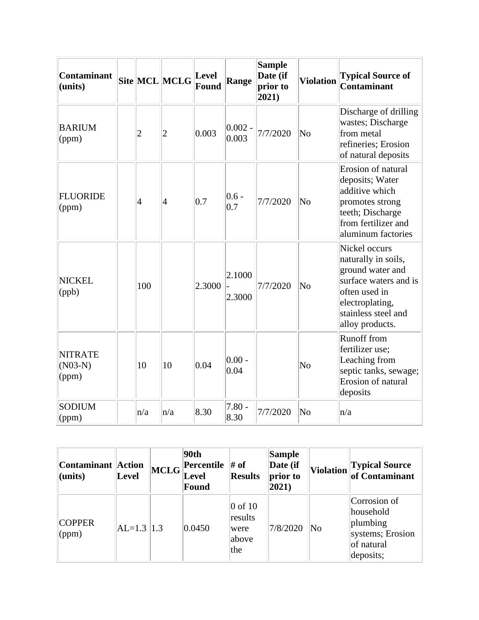| Contaminant<br>(units)               |                | Site MCL MCLG  | Level<br>Found | Range              | <b>Sample</b><br>Date (if<br>prior to<br>$ 2021\rangle$ | <b>Violation</b>       | <b>Typical Source of</b><br><b>Contaminant</b>                                                                                                                  |
|--------------------------------------|----------------|----------------|----------------|--------------------|---------------------------------------------------------|------------------------|-----------------------------------------------------------------------------------------------------------------------------------------------------------------|
| <b>BARIUM</b><br>(ppm)               | $\overline{2}$ | $\overline{c}$ | 0.003          | $0.002 -$<br>0.003 | 7/7/2020                                                | $\overline{\text{No}}$ | Discharge of drilling<br>wastes; Discharge<br>from metal<br>refineries; Erosion<br>of natural deposits                                                          |
| <b>FLUORIDE</b><br>(ppm)             | 4              | $\vert 4$      | 0.7            | $0.6 -$<br>0.7     | 7/7/2020                                                | No                     | Erosion of natural<br>deposits; Water<br>additive which<br>promotes strong<br>teeth; Discharge<br>from fertilizer and<br>aluminum factories                     |
| <b>NICKEL</b><br>(ppb)               | 100            |                | 2.3000         | 2.1000<br>2.3000   | 7/7/2020                                                | No                     | Nickel occurs<br>naturally in soils,<br>ground water and<br>surface waters and is<br>often used in<br>electroplating,<br>stainless steel and<br>alloy products. |
| <b>NITRATE</b><br>$(N03-N)$<br>(ppm) | 10             | 10             | 0.04           | $0.00 -$<br>0.04   |                                                         | N <sub>o</sub>         | <b>Runoff</b> from<br>fertilizer use;<br>Leaching from<br>septic tanks, sewage;<br>Erosion of natural<br>deposits                                               |
| <b>SODIUM</b><br>$\gamma$ (ppm)      | $\ln/a$        | n/a            | 8.30           | $7.80 -$<br>8.30   | 7/7/2020                                                | No                     | n/a                                                                                                                                                             |

| Contaminant   Action<br>$ $ (units) | Level          | MCLG | 90th<br>Percentile<br><b>Level</b><br>Found | # of<br><b>Results</b>                                 | Sample<br>Date (if<br>prior to<br>$ 2021\rangle$ | <b>Violation</b> | <b>Typical Source</b><br>of Contaminant                                              |
|-------------------------------------|----------------|------|---------------------------------------------|--------------------------------------------------------|--------------------------------------------------|------------------|--------------------------------------------------------------------------------------|
| <b>COPPER</b><br>$\gamma$ (ppm)     | $AL=1.3$   1.3 |      | 0.0450                                      | $ 0 \text{ of } 10$<br>results<br>were<br>above<br>the | 7/8/2020                                         | No               | Corrosion of<br>household<br>plumbing<br>systems; Erosion<br>of natural<br>deposits; |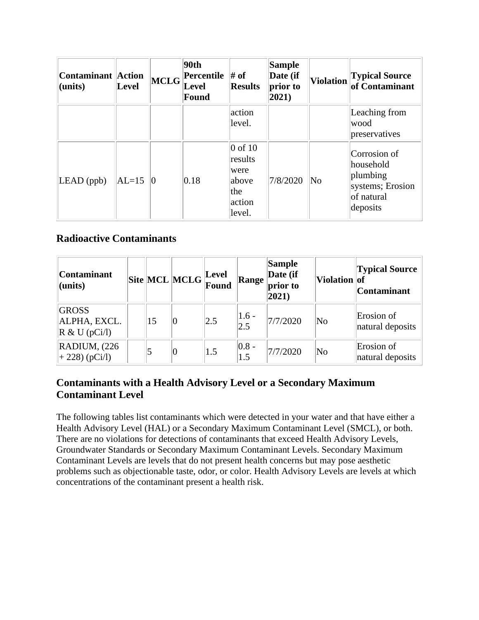| <b>Contaminant Action</b><br>(units) | <b>Level</b> | <b>MCLG</b>     | 90th<br>Percentile<br><b>Level</b><br>Found | $#$ of<br><b>Results</b>                                         | <b>Sample</b><br>Date (if<br>prior to<br>$ 2021\rangle$ | <b>Violation</b>       | <b>Typical Source</b><br>of Contaminant                                             |
|--------------------------------------|--------------|-----------------|---------------------------------------------|------------------------------------------------------------------|---------------------------------------------------------|------------------------|-------------------------------------------------------------------------------------|
|                                      |              |                 |                                             | action<br>level.                                                 |                                                         |                        | Leaching from<br>wood<br>preservatives                                              |
| $LEAD$ (ppb)                         | $AL=15$      | $\vert 0 \vert$ | 0.18                                        | $0$ of 10<br>results<br>were<br>above<br>the<br>action<br>level. | 7/8/2020                                                | $\overline{\text{No}}$ | Corrosion of<br>household<br>plumbing<br>systems; Erosion<br>of natural<br>deposits |

### **Radioactive Contaminants**

| <b>Contaminant</b><br>(units)                            |    | $\boxed{\text{Site}}\boxed{\text{MCL}}\boxed{\text{MCLG}}\boxed{\text{Level}}$ |     | Range                                     | <b>Sample</b><br>Date (if<br>prior to<br>$ 2021\rangle$ | Violation of           | <b>Typical Source</b><br><b>Contaminant</b> |
|----------------------------------------------------------|----|--------------------------------------------------------------------------------|-----|-------------------------------------------|---------------------------------------------------------|------------------------|---------------------------------------------|
| <b>GROSS</b><br>ALPHA, EXCL.<br>$\mathbb{R}$ & U (pCi/l) | 15 | 0                                                                              | 2.5 | $\begin{array}{c} 1.6 \\ 2.5 \end{array}$ | 7/7/2020                                                | $\overline{\text{No}}$ | Erosion of<br>natural deposits              |
| RADIUM, (226<br>$+ 228$ ) (pCi/l)                        |    | 0                                                                              | 1.5 | $ 0.8 -$<br>1.5                           | 7/7/2020                                                | $\overline{\text{No}}$ | Erosion of<br>natural deposits              |

### **Contaminants with a Health Advisory Level or a Secondary Maximum Contaminant Level**

The following tables list contaminants which were detected in your water and that have either a Health Advisory Level (HAL) or a Secondary Maximum Contaminant Level (SMCL), or both. There are no violations for detections of contaminants that exceed Health Advisory Levels, Groundwater Standards or Secondary Maximum Contaminant Levels. Secondary Maximum Contaminant Levels are levels that do not present health concerns but may pose aesthetic problems such as objectionable taste, odor, or color. Health Advisory Levels are levels at which concentrations of the contaminant present a health risk.